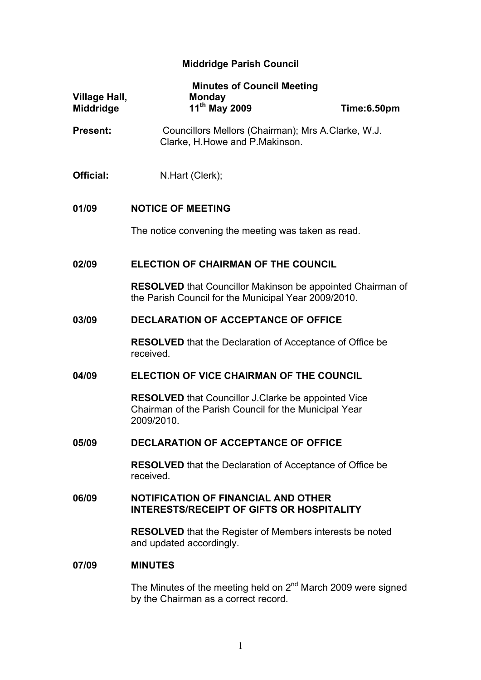# **Middridge Parish Council**

| Village Hall,<br><b>Middridge</b> | <b>Minutes of Council Meeting</b><br><b>Monday</b><br>11th May 2009                                                               | Time:6.50pm |
|-----------------------------------|-----------------------------------------------------------------------------------------------------------------------------------|-------------|
| <b>Present:</b>                   | Councillors Mellors (Chairman); Mrs A.Clarke, W.J.<br>Clarke, H. Howe and P. Makinson.                                            |             |
| Official:                         | N.Hart (Clerk);                                                                                                                   |             |
| 01/09                             | <b>NOTICE OF MEETING</b>                                                                                                          |             |
|                                   | The notice convening the meeting was taken as read.                                                                               |             |
| 02/09                             | <b>ELECTION OF CHAIRMAN OF THE COUNCIL</b>                                                                                        |             |
|                                   | <b>RESOLVED</b> that Councillor Makinson be appointed Chairman of<br>the Parish Council for the Municipal Year 2009/2010.         |             |
| 03/09                             | <b>DECLARATION OF ACCEPTANCE OF OFFICE</b>                                                                                        |             |
|                                   | <b>RESOLVED</b> that the Declaration of Acceptance of Office be<br>received.                                                      |             |
| 04/09                             | ELECTION OF VICE CHAIRMAN OF THE COUNCIL                                                                                          |             |
|                                   | <b>RESOLVED</b> that Councillor J.Clarke be appointed Vice<br>Chairman of the Parish Council for the Municipal Year<br>2009/2010. |             |
| 05/09                             | <b>DECLARATION OF ACCEPTANCE OF OFFICE</b>                                                                                        |             |
|                                   | <b>RESOLVED</b> that the Declaration of Acceptance of Office be<br>received.                                                      |             |
| 06/09                             | <b>NOTIFICATION OF FINANCIAL AND OTHER</b><br><b>INTERESTS/RECEIPT OF GIFTS OR HOSPITALITY</b>                                    |             |
|                                   | <b>RESOLVED</b> that the Register of Members interests be noted<br>and updated accordingly.                                       |             |
| 07/09                             | <b>MINUTES</b>                                                                                                                    |             |
|                                   | The Minutes of the meeting hold on 2 <sup>nd</sup> March 2000 were gigged                                                         |             |

The Minutes of the meeting held on  $2<sup>nd</sup>$  March 2009 were signed by the Chairman as a correct record.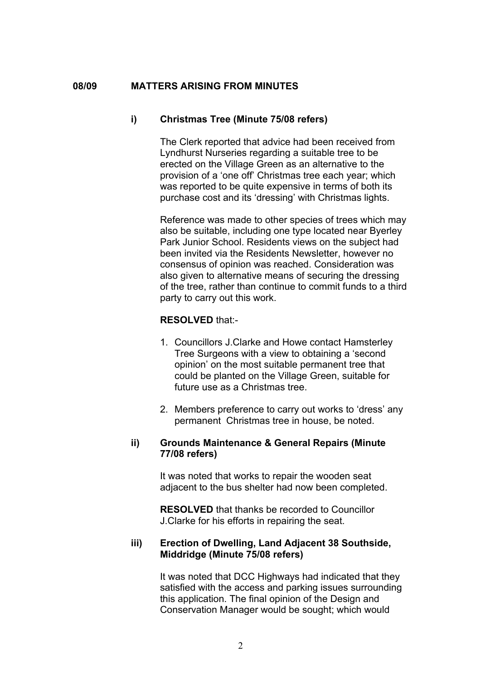#### **08/09 MATTERS ARISING FROM MINUTES**

#### **i) Christmas Tree (Minute 75/08 refers)**

The Clerk reported that advice had been received from Lyndhurst Nurseries regarding a suitable tree to be erected on the Village Green as an alternative to the provision of a 'one off' Christmas tree each year; which was reported to be quite expensive in terms of both its purchase cost and its 'dressing' with Christmas lights.

Reference was made to other species of trees which may also be suitable, including one type located near Byerley Park Junior School. Residents views on the subject had been invited via the Residents Newsletter, however no consensus of opinion was reached. Consideration was also given to alternative means of securing the dressing of the tree, rather than continue to commit funds to a third party to carry out this work.

#### **RESOLVED** that:-

- 1. Councillors J.Clarke and Howe contact Hamsterley Tree Surgeons with a view to obtaining a 'second opinion' on the most suitable permanent tree that could be planted on the Village Green, suitable for future use as a Christmas tree.
- 2. Members preference to carry out works to 'dress' any permanent Christmas tree in house, be noted.

# **ii) Grounds Maintenance & General Repairs (Minute 77/08 refers)**

It was noted that works to repair the wooden seat adjacent to the bus shelter had now been completed.

**RESOLVED** that thanks be recorded to Councillor J.Clarke for his efforts in repairing the seat.

# **iii) Erection of Dwelling, Land Adjacent 38 Southside, Middridge (Minute 75/08 refers)**

It was noted that DCC Highways had indicated that they satisfied with the access and parking issues surrounding this application. The final opinion of the Design and Conservation Manager would be sought; which would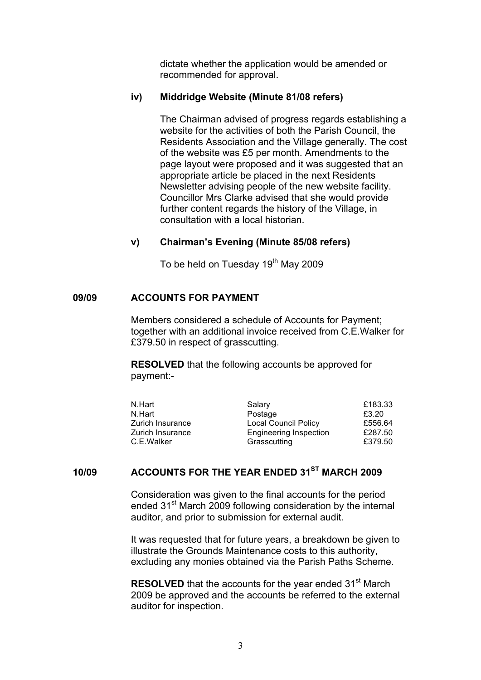dictate whether the application would be amended or recommended for approval.

#### **iv) Middridge Website (Minute 81/08 refers)**

The Chairman advised of progress regards establishing a website for the activities of both the Parish Council, the Residents Association and the Village generally. The cost of the website was £5 per month. Amendments to the page layout were proposed and it was suggested that an appropriate article be placed in the next Residents Newsletter advising people of the new website facility. Councillor Mrs Clarke advised that she would provide further content regards the history of the Village, in consultation with a local historian.

#### **v) Chairman's Evening (Minute 85/08 refers)**

To be held on Tuesday 19<sup>th</sup> May 2009

#### **09/09 ACCOUNTS FOR PAYMENT**

Members considered a schedule of Accounts for Payment; together with an additional invoice received from C.E.Walker for £379.50 in respect of grasscutting.

**RESOLVED** that the following accounts be approved for payment:-

| N.Hart           | Salary                        | £183.33 |
|------------------|-------------------------------|---------|
| N.Hart           | Postage                       | £3.20   |
| Zurich Insurance | <b>Local Council Policy</b>   | £556.64 |
| Zurich Insurance | <b>Engineering Inspection</b> | £287.50 |
| C.E.Walker       | Grasscutting                  | £379.50 |

# **10/09 ACCOUNTS FOR THE YEAR ENDED 31ST MARCH 2009**

Consideration was given to the final accounts for the period ended 31<sup>st</sup> March 2009 following consideration by the internal auditor, and prior to submission for external audit.

It was requested that for future years, a breakdown be given to illustrate the Grounds Maintenance costs to this authority, excluding any monies obtained via the Parish Paths Scheme.

**RESOLVED** that the accounts for the year ended 31<sup>st</sup> March 2009 be approved and the accounts be referred to the external auditor for inspection.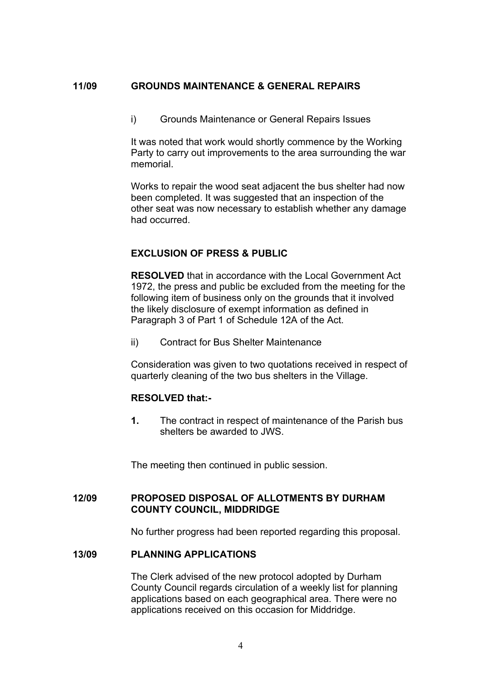# **11/09 GROUNDS MAINTENANCE & GENERAL REPAIRS**

i) Grounds Maintenance or General Repairs Issues

It was noted that work would shortly commence by the Working Party to carry out improvements to the area surrounding the war memorial.

Works to repair the wood seat adjacent the bus shelter had now been completed. It was suggested that an inspection of the other seat was now necessary to establish whether any damage had occurred.

#### **EXCLUSION OF PRESS & PUBLIC**

**RESOLVED** that in accordance with the Local Government Act 1972, the press and public be excluded from the meeting for the following item of business only on the grounds that it involved the likely disclosure of exempt information as defined in Paragraph 3 of Part 1 of Schedule 12A of the Act.

ii) Contract for Bus Shelter Maintenance

Consideration was given to two quotations received in respect of quarterly cleaning of the two bus shelters in the Village.

#### **RESOLVED that:-**

**1.** The contract in respect of maintenance of the Parish bus shelters be awarded to JWS.

The meeting then continued in public session.

## **12/09 PROPOSED DISPOSAL OF ALLOTMENTS BY DURHAM COUNTY COUNCIL, MIDDRIDGE**

No further progress had been reported regarding this proposal.

# **13/09 PLANNING APPLICATIONS**

The Clerk advised of the new protocol adopted by Durham County Council regards circulation of a weekly list for planning applications based on each geographical area. There were no applications received on this occasion for Middridge.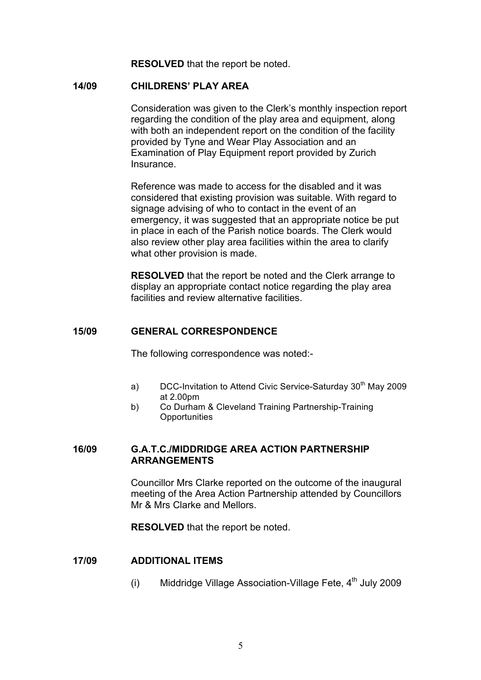**RESOLVED** that the report be noted.

#### **14/09 CHILDRENS' PLAY AREA**

Consideration was given to the Clerk's monthly inspection report regarding the condition of the play area and equipment, along with both an independent report on the condition of the facility provided by Tyne and Wear Play Association and an Examination of Play Equipment report provided by Zurich **Insurance** 

Reference was made to access for the disabled and it was considered that existing provision was suitable. With regard to signage advising of who to contact in the event of an emergency, it was suggested that an appropriate notice be put in place in each of the Parish notice boards. The Clerk would also review other play area facilities within the area to clarify what other provision is made.

**RESOLVED** that the report be noted and the Clerk arrange to display an appropriate contact notice regarding the play area facilities and review alternative facilities.

# **15/09 GENERAL CORRESPONDENCE**

The following correspondence was noted:-

- a) DCC-Invitation to Attend Civic Service-Saturday 30<sup>th</sup> May 2009 at 2.00pm
- b) Co Durham & Cleveland Training Partnership-Training **Opportunities**

# **16/09 G.A.T.C./MIDDRIDGE AREA ACTION PARTNERSHIP ARRANGEMENTS**

Councillor Mrs Clarke reported on the outcome of the inaugural meeting of the Area Action Partnership attended by Councillors Mr & Mrs Clarke and Mellors.

**RESOLVED** that the report be noted.

#### **17/09 ADDITIONAL ITEMS**

(i) Middridge Village Association-Village Fete,  $4<sup>th</sup>$  July 2009